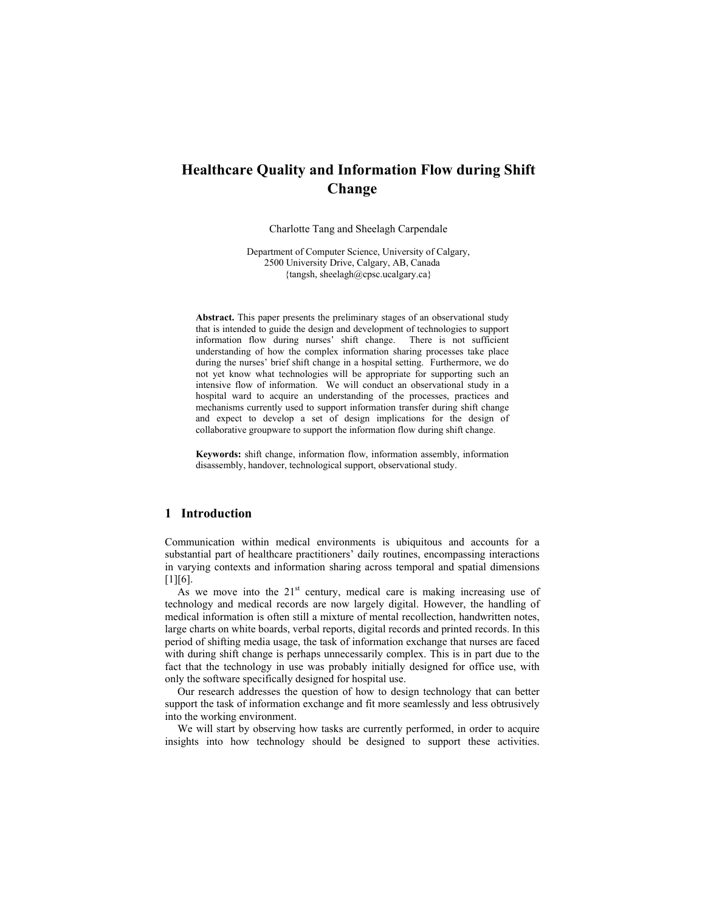# **Healthcare Quality and Information Flow during Shift Change**

Charlotte Tang and Sheelagh Carpendale

Department of Computer Science, University of Calgary, 2500 University Drive, Calgary, AB, Canada {tangsh, sheelagh@cpsc.ucalgary.ca}

**Abstract.** This paper presents the preliminary stages of an observational study that is intended to guide the design and development of technologies to support information flow during nurses' shift change. There is not sufficient understanding of how the complex information sharing processes take place during the nurses' brief shift change in a hospital setting. Furthermore, we do not yet know what technologies will be appropriate for supporting such an intensive flow of information. We will conduct an observational study in a hospital ward to acquire an understanding of the processes, practices and mechanisms currently used to support information transfer during shift change and expect to develop a set of design implications for the design of collaborative groupware to support the information flow during shift change.

**Keywords:** shift change, information flow, information assembly, information disassembly, handover, technological support, observational study.

# **1 Introduction**

Communication within medical environments is ubiquitous and accounts for a substantial part of healthcare practitioners' daily routines, encompassing interactions in varying contexts and information sharing across temporal and spatial dimensions  $[1]$ [6].

As we move into the  $21<sup>st</sup>$  century, medical care is making increasing use of technology and medical records are now largely digital. However, the handling of medical information is often still a mixture of mental recollection, handwritten notes, large charts on white boards, verbal reports, digital records and printed records. In this period of shifting media usage, the task of information exchange that nurses are faced with during shift change is perhaps unnecessarily complex. This is in part due to the fact that the technology in use was probably initially designed for office use, with only the software specifically designed for hospital use.

Our research addresses the question of how to design technology that can better support the task of information exchange and fit more seamlessly and less obtrusively into the working environment.

We will start by observing how tasks are currently performed, in order to acquire insights into how technology should be designed to support these activities.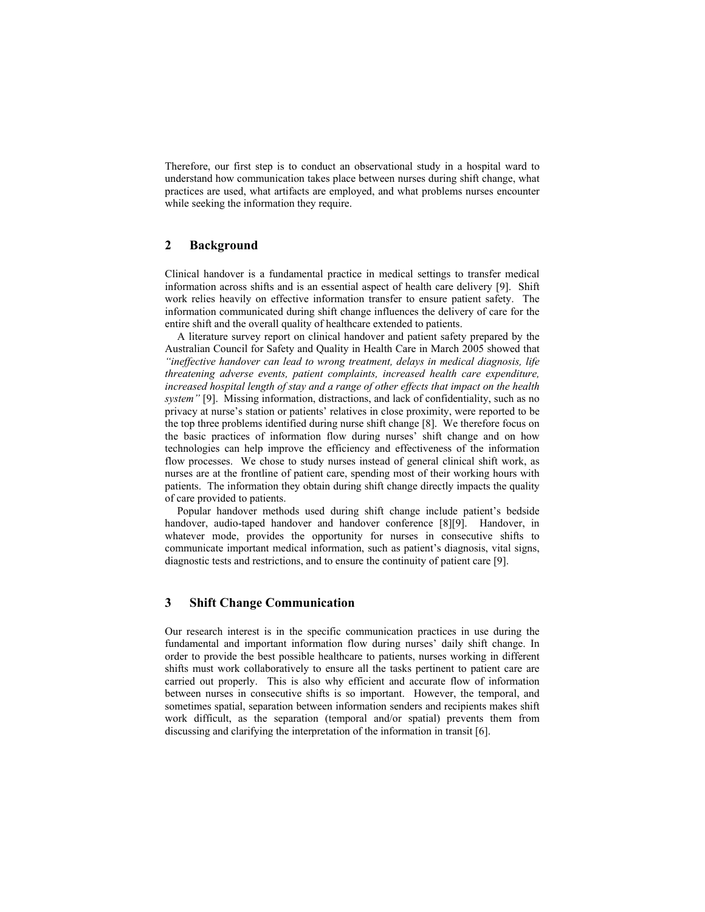Therefore, our first step is to conduct an observational study in a hospital ward to understand how communication takes place between nurses during shift change, what practices are used, what artifacts are employed, and what problems nurses encounter while seeking the information they require.

# **2 Background**

Clinical handover is a fundamental practice in medical settings to transfer medical information across shifts and is an essential aspect of health care delivery [9]. Shift work relies heavily on effective information transfer to ensure patient safety. The information communicated during shift change influences the delivery of care for the entire shift and the overall quality of healthcare extended to patients.

A literature survey report on clinical handover and patient safety prepared by the Australian Council for Safety and Quality in Health Care in March 2005 showed that *"ineffective handover can lead to wrong treatment, delays in medical diagnosis, life threatening adverse events, patient complaints, increased health care expenditure, increased hospital length of stay and a range of other effects that impact on the health system"* [9]. Missing information, distractions, and lack of confidentiality, such as no privacy at nurse's station or patients' relatives in close proximity, were reported to be the top three problems identified during nurse shift change [8]. We therefore focus on the basic practices of information flow during nurses' shift change and on how technologies can help improve the efficiency and effectiveness of the information flow processes. We chose to study nurses instead of general clinical shift work, as nurses are at the frontline of patient care, spending most of their working hours with patients. The information they obtain during shift change directly impacts the quality of care provided to patients.

Popular handover methods used during shift change include patient's bedside handover, audio-taped handover and handover conference [8][9]. Handover, in whatever mode, provides the opportunity for nurses in consecutive shifts to communicate important medical information, such as patient's diagnosis, vital signs, diagnostic tests and restrictions, and to ensure the continuity of patient care [9].

## **3 Shift Change Communication**

Our research interest is in the specific communication practices in use during the fundamental and important information flow during nurses' daily shift change. In order to provide the best possible healthcare to patients, nurses working in different shifts must work collaboratively to ensure all the tasks pertinent to patient care are carried out properly. This is also why efficient and accurate flow of information between nurses in consecutive shifts is so important. However, the temporal, and sometimes spatial, separation between information senders and recipients makes shift work difficult, as the separation (temporal and/or spatial) prevents them from discussing and clarifying the interpretation of the information in transit [6].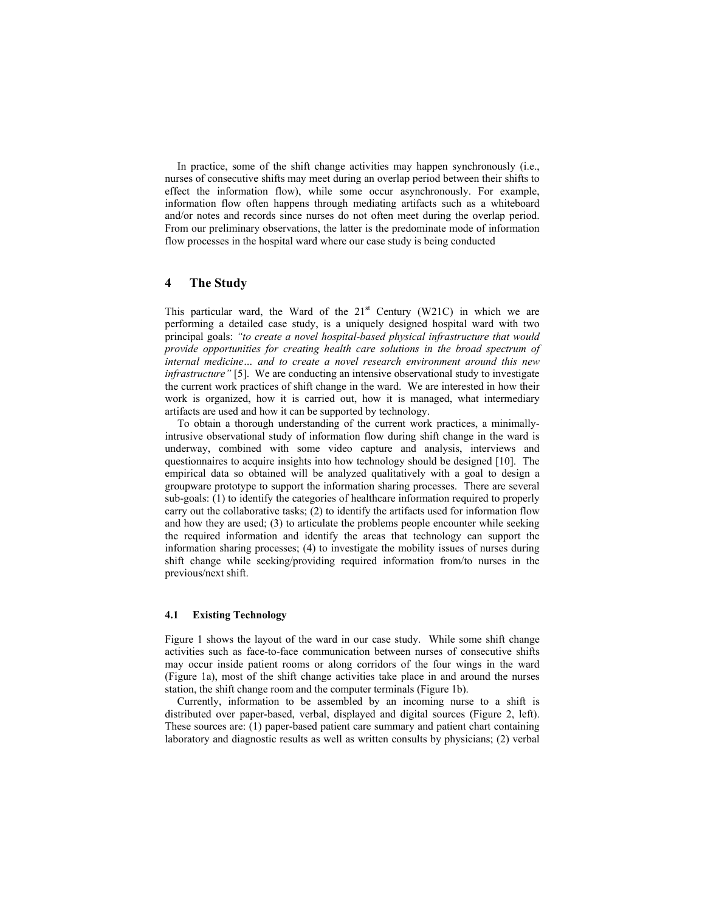In practice, some of the shift change activities may happen synchronously (i.e., nurses of consecutive shifts may meet during an overlap period between their shifts to effect the information flow), while some occur asynchronously. For example, information flow often happens through mediating artifacts such as a whiteboard and/or notes and records since nurses do not often meet during the overlap period. From our preliminary observations, the latter is the predominate mode of information flow processes in the hospital ward where our case study is being conducted

# **4 The Study**

This particular ward, the Ward of the  $21<sup>st</sup>$  Century (W21C) in which we are performing a detailed case study, is a uniquely designed hospital ward with two principal goals: *"to create a novel hospital-based physical infrastructure that would provide opportunities for creating health care solutions in the broad spectrum of internal medicine… and to create a novel research environment around this new infrastructure*" [5]. We are conducting an intensive observational study to investigate the current work practices of shift change in the ward. We are interested in how their work is organized, how it is carried out, how it is managed, what intermediary artifacts are used and how it can be supported by technology.

To obtain a thorough understanding of the current work practices, a minimallyintrusive observational study of information flow during shift change in the ward is underway, combined with some video capture and analysis, interviews and questionnaires to acquire insights into how technology should be designed [10]. The empirical data so obtained will be analyzed qualitatively with a goal to design a groupware prototype to support the information sharing processes. There are several sub-goals: (1) to identify the categories of healthcare information required to properly carry out the collaborative tasks; (2) to identify the artifacts used for information flow and how they are used; (3) to articulate the problems people encounter while seeking the required information and identify the areas that technology can support the information sharing processes; (4) to investigate the mobility issues of nurses during shift change while seeking/providing required information from/to nurses in the previous/next shift.

### **4.1 Existing Technology**

Figure 1 shows the layout of the ward in our case study. While some shift change activities such as face-to-face communication between nurses of consecutive shifts may occur inside patient rooms or along corridors of the four wings in the ward (Figure 1a), most of the shift change activities take place in and around the nurses station, the shift change room and the computer terminals (Figure 1b).

Currently, information to be assembled by an incoming nurse to a shift is distributed over paper-based, verbal, displayed and digital sources (Figure 2, left). These sources are: (1) paper-based patient care summary and patient chart containing laboratory and diagnostic results as well as written consults by physicians; (2) verbal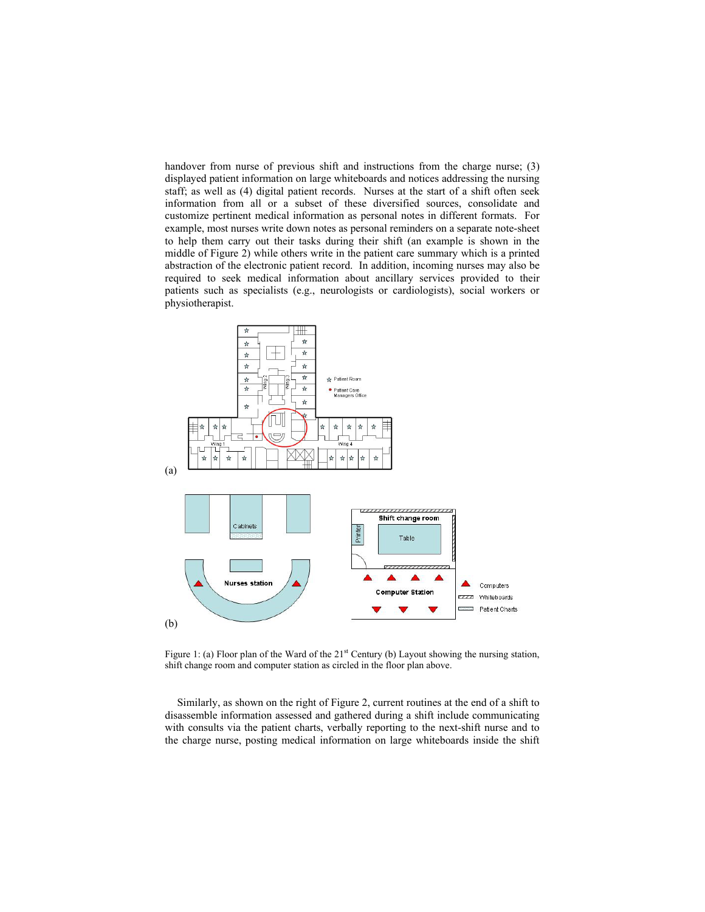handover from nurse of previous shift and instructions from the charge nurse; (3) displayed patient information on large whiteboards and notices addressing the nursing staff; as well as (4) digital patient records. Nurses at the start of a shift often seek information from all or a subset of these diversified sources, consolidate and customize pertinent medical information as personal notes in different formats. For example, most nurses write down notes as personal reminders on a separate note-sheet to help them carry out their tasks during their shift (an example is shown in the middle of Figure 2) while others write in the patient care summary which is a printed abstraction of the electronic patient record. In addition, incoming nurses may also be required to seek medical information about ancillary services provided to their patients such as specialists (e.g., neurologists or cardiologists), social workers or physiotherapist.



Figure 1: (a) Floor plan of the Ward of the  $21<sup>st</sup>$  Century (b) Layout showing the nursing station, shift change room and computer station as circled in the floor plan above.

Similarly, as shown on the right of Figure 2, current routines at the end of a shift to disassemble information assessed and gathered during a shift include communicating with consults via the patient charts, verbally reporting to the next-shift nurse and to the charge nurse, posting medical information on large whiteboards inside the shift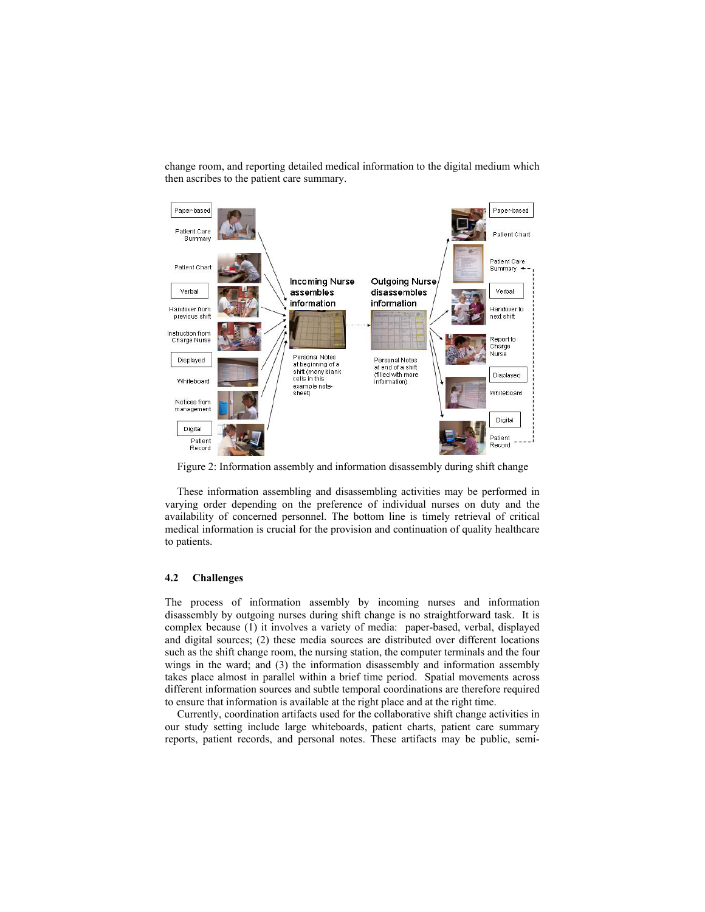change room, and reporting detailed medical information to the digital medium which then ascribes to the patient care summary.



Figure 2: Information assembly and information disassembly during shift change

These information assembling and disassembling activities may be performed in varying order depending on the preference of individual nurses on duty and the availability of concerned personnel. The bottom line is timely retrieval of critical medical information is crucial for the provision and continuation of quality healthcare to patients.

## **4.2 Challenges**

The process of information assembly by incoming nurses and information disassembly by outgoing nurses during shift change is no straightforward task. It is complex because (1) it involves a variety of media: paper-based, verbal, displayed and digital sources; (2) these media sources are distributed over different locations such as the shift change room, the nursing station, the computer terminals and the four wings in the ward; and (3) the information disassembly and information assembly takes place almost in parallel within a brief time period. Spatial movements across different information sources and subtle temporal coordinations are therefore required to ensure that information is available at the right place and at the right time.

Currently, coordination artifacts used for the collaborative shift change activities in our study setting include large whiteboards, patient charts, patient care summary reports, patient records, and personal notes. These artifacts may be public, semi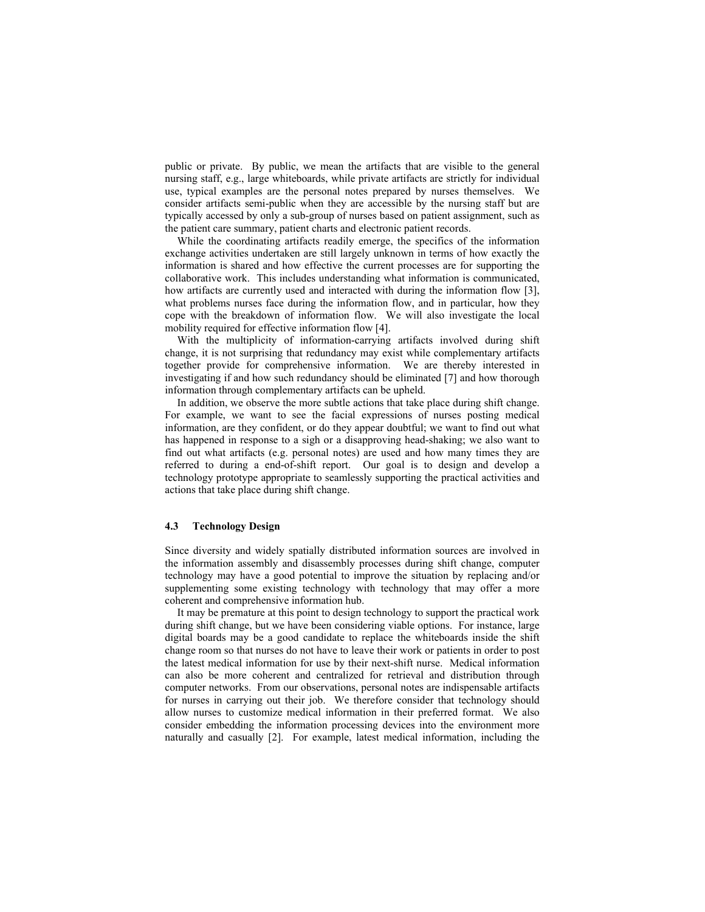public or private. By public, we mean the artifacts that are visible to the general nursing staff, e.g., large whiteboards, while private artifacts are strictly for individual use, typical examples are the personal notes prepared by nurses themselves. We consider artifacts semi-public when they are accessible by the nursing staff but are typically accessed by only a sub-group of nurses based on patient assignment, such as the patient care summary, patient charts and electronic patient records.

While the coordinating artifacts readily emerge, the specifics of the information exchange activities undertaken are still largely unknown in terms of how exactly the information is shared and how effective the current processes are for supporting the collaborative work. This includes understanding what information is communicated, how artifacts are currently used and interacted with during the information flow [3], what problems nurses face during the information flow, and in particular, how they cope with the breakdown of information flow. We will also investigate the local mobility required for effective information flow [4].

With the multiplicity of information-carrying artifacts involved during shift change, it is not surprising that redundancy may exist while complementary artifacts together provide for comprehensive information. We are thereby interested in investigating if and how such redundancy should be eliminated [7] and how thorough information through complementary artifacts can be upheld.

In addition, we observe the more subtle actions that take place during shift change. For example, we want to see the facial expressions of nurses posting medical information, are they confident, or do they appear doubtful; we want to find out what has happened in response to a sigh or a disapproving head-shaking; we also want to find out what artifacts (e.g. personal notes) are used and how many times they are referred to during a end-of-shift report. Our goal is to design and develop a technology prototype appropriate to seamlessly supporting the practical activities and actions that take place during shift change.

### **4.3 Technology Design**

Since diversity and widely spatially distributed information sources are involved in the information assembly and disassembly processes during shift change, computer technology may have a good potential to improve the situation by replacing and/or supplementing some existing technology with technology that may offer a more coherent and comprehensive information hub.

It may be premature at this point to design technology to support the practical work during shift change, but we have been considering viable options. For instance, large digital boards may be a good candidate to replace the whiteboards inside the shift change room so that nurses do not have to leave their work or patients in order to post the latest medical information for use by their next-shift nurse. Medical information can also be more coherent and centralized for retrieval and distribution through computer networks. From our observations, personal notes are indispensable artifacts for nurses in carrying out their job. We therefore consider that technology should allow nurses to customize medical information in their preferred format. We also consider embedding the information processing devices into the environment more naturally and casually [2]. For example, latest medical information, including the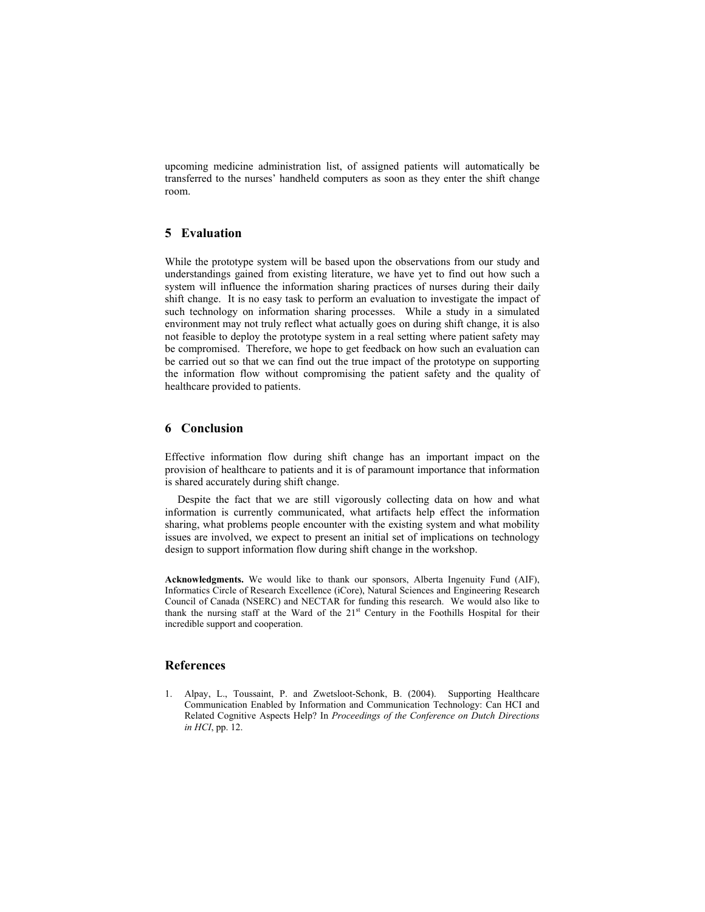upcoming medicine administration list, of assigned patients will automatically be transferred to the nurses' handheld computers as soon as they enter the shift change room.

# **5 Evaluation**

While the prototype system will be based upon the observations from our study and understandings gained from existing literature, we have yet to find out how such a system will influence the information sharing practices of nurses during their daily shift change. It is no easy task to perform an evaluation to investigate the impact of such technology on information sharing processes. While a study in a simulated environment may not truly reflect what actually goes on during shift change, it is also not feasible to deploy the prototype system in a real setting where patient safety may be compromised. Therefore, we hope to get feedback on how such an evaluation can be carried out so that we can find out the true impact of the prototype on supporting the information flow without compromising the patient safety and the quality of healthcare provided to patients.

### **6 Conclusion**

Effective information flow during shift change has an important impact on the provision of healthcare to patients and it is of paramount importance that information is shared accurately during shift change.

Despite the fact that we are still vigorously collecting data on how and what information is currently communicated, what artifacts help effect the information sharing, what problems people encounter with the existing system and what mobility issues are involved, we expect to present an initial set of implications on technology design to support information flow during shift change in the workshop.

**Acknowledgments.** We would like to thank our sponsors, Alberta Ingenuity Fund (AIF), Informatics Circle of Research Excellence (iCore), Natural Sciences and Engineering Research Council of Canada (NSERC) and NECTAR for funding this research. We would also like to thank the nursing staff at the Ward of the 21st Century in the Foothills Hospital for their incredible support and cooperation.

# **References**

1. Alpay, L., Toussaint, P. and Zwetsloot-Schonk, B. (2004). Supporting Healthcare Communication Enabled by Information and Communication Technology: Can HCI and Related Cognitive Aspects Help? In *Proceedings of the Conference on Dutch Directions in HCI*, pp. 12.